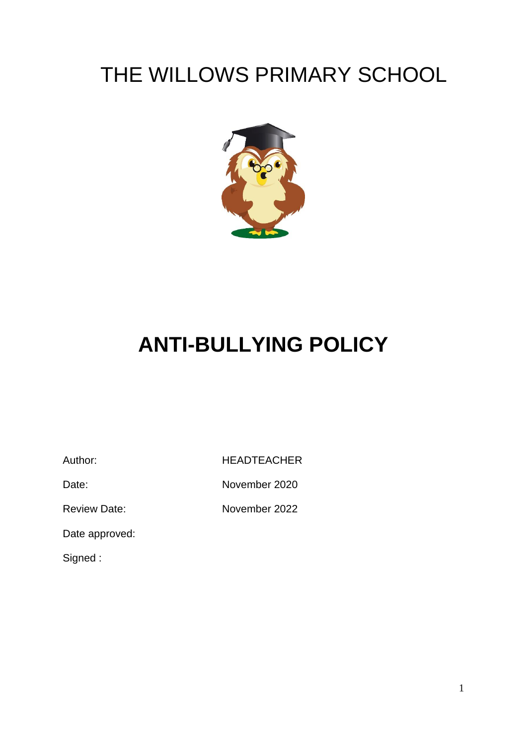# THE WILLOWS PRIMARY SCHOOL



# **ANTI-BULLYING POLICY**

Author: HEADTEACHER

Date: November 2020

Review Date: November 2022

Date approved:

Signed :

1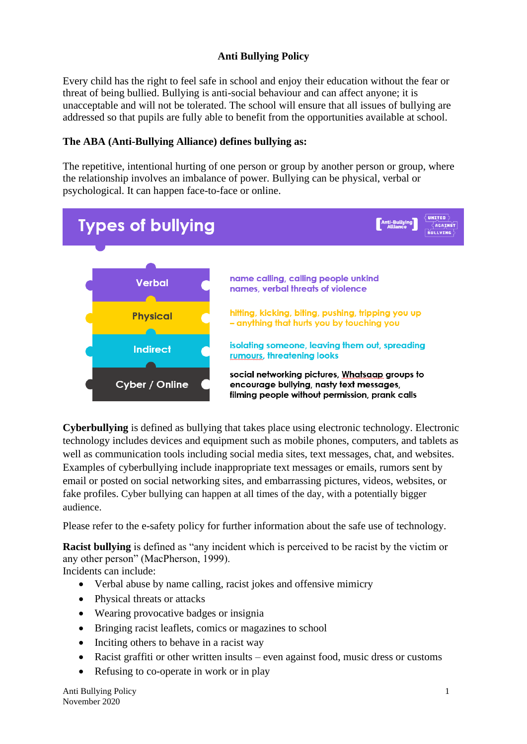### **Anti Bullying Policy**

Every child has the right to feel safe in school and enjoy their education without the fear or threat of being bullied. Bullying is anti-social behaviour and can affect anyone; it is unacceptable and will not be tolerated. The school will ensure that all issues of bullying are addressed so that pupils are fully able to benefit from the opportunities available at school.

#### **The ABA (Anti-Bullying Alliance) defines bullying as:**

The repetitive, intentional hurting of one person or group by another person or group, where the relationship involves an imbalance of power. Bullying can be physical, verbal or psychological. It can happen face-to-face or online.



**Cyberbullying** is defined as [bullying](http://www.stopbullying.gov/what-is-bullying/index.html) that takes place using electronic technology. Electronic technology includes devices and equipment such as mobile phones, computers, and tablets as well as communication tools including social media sites, text messages, chat, and websites. Examples of cyberbullying include inappropriate text messages or emails, rumors sent by email or posted on social networking sites, and embarrassing pictures, videos, websites, or fake profiles. Cyber bullying can happen at all times of the day, with a potentially bigger audience.

Please refer to the e-safety policy for further information about the safe use of technology.

**Racist bullying** is defined as "any incident which is perceived to be racist by the victim or any other person" (MacPherson, 1999).

Incidents can include:

- Verbal abuse by name calling, racist jokes and offensive mimicry
- Physical threats or attacks
- Wearing provocative badges or insignia
- Bringing racist leaflets, comics or magazines to school
- Inciting others to behave in a racist way
- Racist graffiti or other written insults even against food, music dress or customs
- Refusing to co-operate in work or in play

Anti Bullying Policy 1 November 2020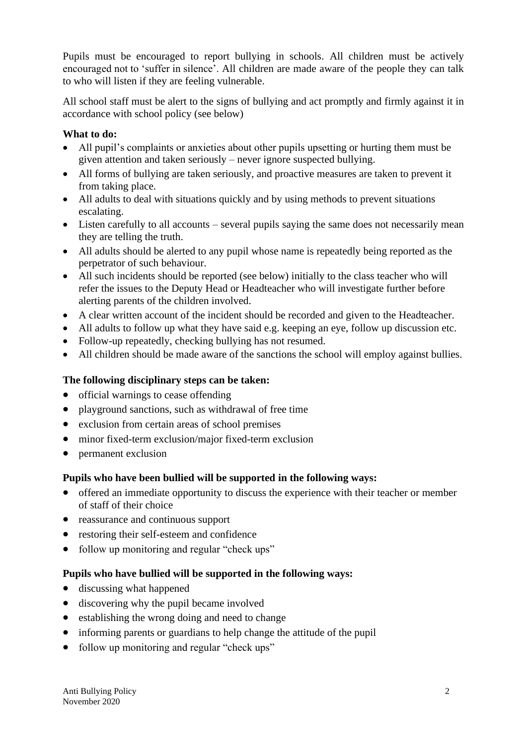Pupils must be encouraged to report bullying in schools. All children must be actively encouraged not to 'suffer in silence'. All children are made aware of the people they can talk to who will listen if they are feeling vulnerable.

All school staff must be alert to the signs of bullying and act promptly and firmly against it in accordance with school policy (see below)

#### **What to do:**

- All pupil's complaints or anxieties about other pupils upsetting or hurting them must be given attention and taken seriously – never ignore suspected bullying.
- All forms of bullying are taken seriously, and proactive measures are taken to prevent it from taking place.
- All adults to deal with situations quickly and by using methods to prevent situations escalating.
- Listen carefully to all accounts several pupils saying the same does not necessarily mean they are telling the truth.
- All adults should be alerted to any pupil whose name is repeatedly being reported as the perpetrator of such behaviour.
- All such incidents should be reported (see below) initially to the class teacher who will refer the issues to the Deputy Head or Headteacher who will investigate further before alerting parents of the children involved.
- A clear written account of the incident should be recorded and given to the Headteacher.
- All adults to follow up what they have said e.g. keeping an eye, follow up discussion etc.
- Follow-up repeatedly, checking bullying has not resumed.
- All children should be made aware of the sanctions the school will employ against bullies.

#### **The following disciplinary steps can be taken:**

- official warnings to cease offending
- playground sanctions, such as withdrawal of free time
- exclusion from certain areas of school premises
- minor fixed-term exclusion/major fixed-term exclusion
- permanent exclusion

#### **Pupils who have been bullied will be supported in the following ways:**

- offered an immediate opportunity to discuss the experience with their teacher or member of staff of their choice
- reassurance and continuous support
- restoring their self-esteem and confidence
- follow up monitoring and regular "check ups"

#### **Pupils who have bullied will be supported in the following ways:**

- discussing what happened
- discovering why the pupil became involved
- establishing the wrong doing and need to change
- informing parents or guardians to help change the attitude of the pupil
- follow up monitoring and regular "check ups"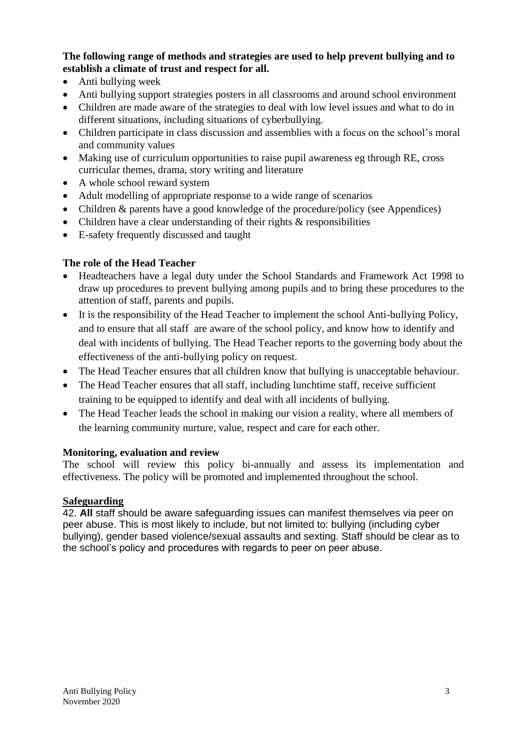**The following range of methods and strategies are used to help prevent bullying and to establish a climate of trust and respect for all.**

- Anti bullying week
- Anti bullying support strategies posters in all classrooms and around school environment
- Children are made aware of the strategies to deal with low level issues and what to do in different situations, including situations of cyberbullying.
- Children participate in class discussion and assemblies with a focus on the school's moral and community values
- Making use of curriculum opportunities to raise pupil awareness eg through RE, cross curricular themes, drama, story writing and literature
- A whole school reward system
- Adult modelling of appropriate response to a wide range of scenarios
- Children & parents have a good knowledge of the procedure/policy (see Appendices)
- Children have a clear understanding of their rights  $&$  responsibilities
- E-safety frequently discussed and taught

### **The role of the Head Teacher**

- Headteachers have a legal duty under the School Standards and Framework Act 1998 to draw up procedures to prevent bullying among pupils and to bring these procedures to the attention of staff, parents and pupils.
- It is the responsibility of the Head Teacher to implement the school Anti-bullying Policy, and to ensure that all staff are aware of the school policy, and know how to identify and deal with incidents of bullying. The Head Teacher reports to the governing body about the effectiveness of the anti-bullying policy on request.
- The Head Teacher ensures that all children know that bullying is unacceptable behaviour.
- The Head Teacher ensures that all staff, including lunchtime staff, receive sufficient training to be equipped to identify and deal with all incidents of bullying.
- The Head Teacher leads the school in making our vision a reality, where all members of the learning community nurture, value, respect and care for each other.

#### **Monitoring, evaluation and review**

The school will review this policy bi-annually and assess its implementation and effectiveness. The policy will be promoted and implemented throughout the school.

#### **Safeguarding**

42. **All** staff should be aware safeguarding issues can manifest themselves via peer on peer abuse. This is most likely to include, but not limited to: bullying (including cyber bullying), gender based violence/sexual assaults and sexting. Staff should be clear as to the school's policy and procedures with regards to peer on peer abuse.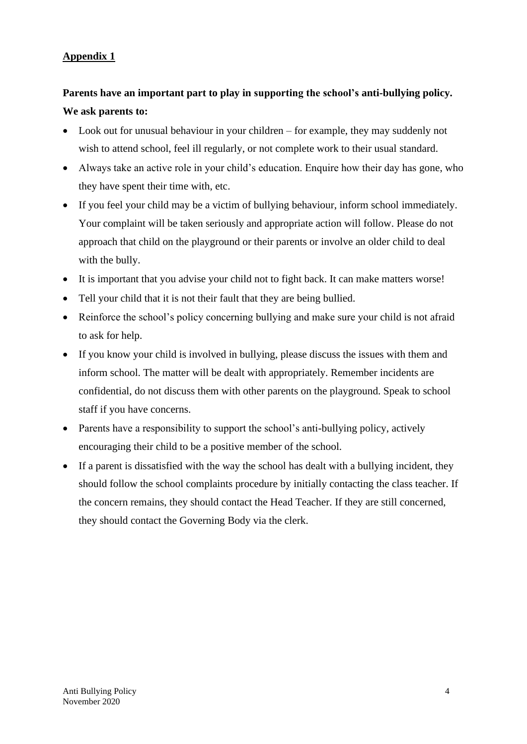### **Appendix 1**

## **Parents have an important part to play in supporting the school's anti-bullying policy. We ask parents to:**

- Look out for unusual behaviour in your children for example, they may suddenly not wish to attend school, feel ill regularly, or not complete work to their usual standard.
- Always take an active role in your child's education. Enquire how their day has gone, who they have spent their time with, etc.
- If you feel your child may be a victim of bullying behaviour, inform school immediately. Your complaint will be taken seriously and appropriate action will follow. Please do not approach that child on the playground or their parents or involve an older child to deal with the bully.
- It is important that you advise your child not to fight back. It can make matters worse!
- Tell your child that it is not their fault that they are being bullied.
- Reinforce the school's policy concerning bullying and make sure your child is not afraid to ask for help.
- If you know your child is involved in bullying, please discuss the issues with them and inform school. The matter will be dealt with appropriately. Remember incidents are confidential, do not discuss them with other parents on the playground. Speak to school staff if you have concerns.
- Parents have a responsibility to support the school's anti-bullying policy, actively encouraging their child to be a positive member of the school.
- If a parent is dissatisfied with the way the school has dealt with a bullying incident, they should follow the school complaints procedure by initially contacting the class teacher. If the concern remains, they should contact the Head Teacher. If they are still concerned, they should contact the Governing Body via the clerk.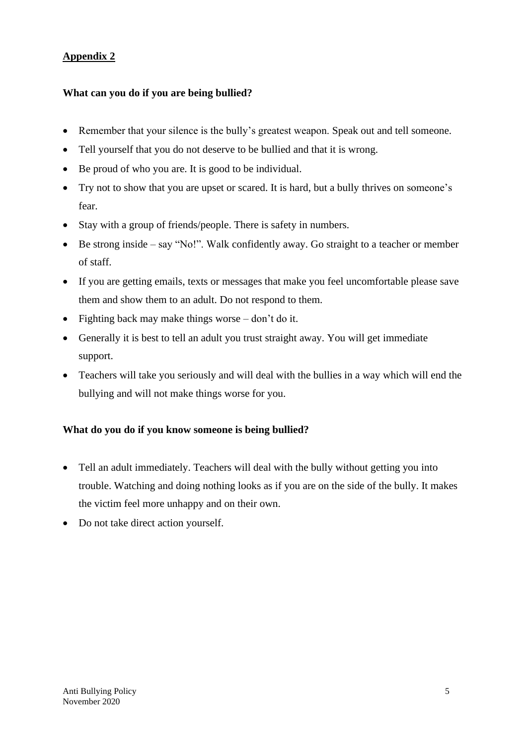### **Appendix 2**

### **What can you do if you are being bullied?**

- Remember that your silence is the bully's greatest weapon. Speak out and tell someone.
- Tell yourself that you do not deserve to be bullied and that it is wrong.
- Be proud of who you are. It is good to be individual.
- Try not to show that you are upset or scared. It is hard, but a bully thrives on someone's fear.
- Stay with a group of friends/people. There is safety in numbers.
- Be strong inside say "No!". Walk confidently away. Go straight to a teacher or member of staff.
- If you are getting emails, texts or messages that make you feel uncomfortable please save them and show them to an adult. Do not respond to them.
- Fighting back may make things worse don't do it.
- Generally it is best to tell an adult you trust straight away. You will get immediate support.
- Teachers will take you seriously and will deal with the bullies in a way which will end the bullying and will not make things worse for you.

#### **What do you do if you know someone is being bullied?**

- Tell an adult immediately. Teachers will deal with the bully without getting you into trouble. Watching and doing nothing looks as if you are on the side of the bully. It makes the victim feel more unhappy and on their own.
- Do not take direct action yourself.